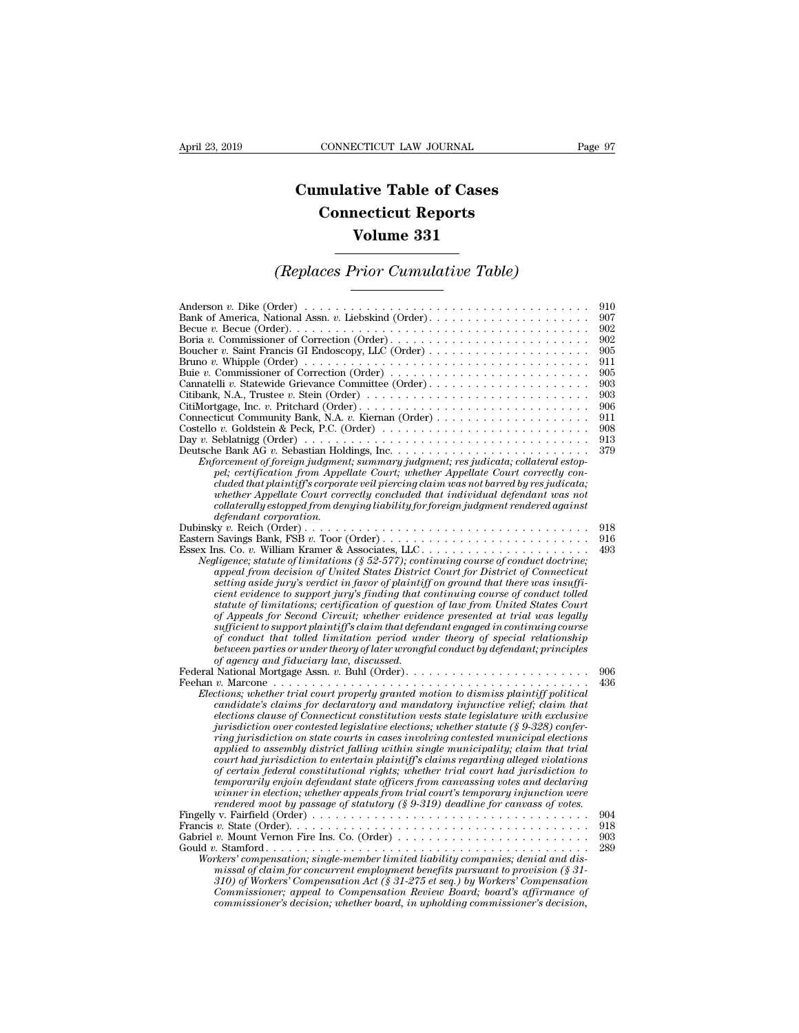## **CONNECTICUT LAW JOURNAL**<br> **Cumulative Table of Cases<br>
Connecticut Reports CONNECTICUT LAW JOURNAL**<br> **CONNECTICUT LAW JOURNAL**<br> **CONNECTICUT Reports<br>
Volume 331 ECTICUT LAW JOURNAL**<br> **Volume 331**<br> **Volume 331**<br> **Volume 331** *CONNECTICUT LAW JOURNAL* Page 97<br> **Cumulative Table of Cases<br>** *Connecticut Reports***<br>** *Volume 331***<br>** *(Replaces Prior Cumulative Table)*

| Volume 331                                                                                                                                                                                                                                                                                                                                                                                                                                                                                                                                                                                                                                                                                                                                                                                                                                                                                                                                                                                                                |                                                                                                |  |  |
|---------------------------------------------------------------------------------------------------------------------------------------------------------------------------------------------------------------------------------------------------------------------------------------------------------------------------------------------------------------------------------------------------------------------------------------------------------------------------------------------------------------------------------------------------------------------------------------------------------------------------------------------------------------------------------------------------------------------------------------------------------------------------------------------------------------------------------------------------------------------------------------------------------------------------------------------------------------------------------------------------------------------------|------------------------------------------------------------------------------------------------|--|--|
| (Replaces Prior Cumulative Table)                                                                                                                                                                                                                                                                                                                                                                                                                                                                                                                                                                                                                                                                                                                                                                                                                                                                                                                                                                                         |                                                                                                |  |  |
| Anderson v. Dike (Order) $\dots \dots \dots \dots \dots \dots \dots \dots \dots \dots \dots \dots \dots \dots \dots$<br>Boria v. Commissioner of Correction (Order)<br>Bruno v. Whipple (Order) $\dots \dots \dots \dots \dots \dots \dots \dots \dots \dots \dots \dots \dots \dots \dots$<br>Buie v. Commissioner of Correction (Order) $\dots \dots \dots \dots \dots \dots \dots \dots \dots \dots$<br>Cannatelli v. Statewide Grievance Committee (Order)<br>Costello v. Goldstein & Peck, P.C. (Order) $\dots \dots \dots \dots \dots \dots \dots \dots \dots \dots \dots$<br>Enforcement of foreign judgment; summary judgment; res judicata; collateral estop-<br>pel; certification from Appellate Court; whether Appellate Court correctly con-<br>cluded that plaintiff's corporate veil piercing claim was not barred by res judicata;<br>whether Appellate Court correctly concluded that individual defendant was not<br>collaterally estopped from denying liability for foreign judgment rendered against | 910<br>907<br>902<br>902<br>905<br>911<br>905<br>903<br>903<br>906<br>911<br>908<br>913<br>379 |  |  |
| defendant corporation.<br>Eastern Savings Bank, FSB v. Toor (Order)<br>Negligence; statute of limitations ( $\S 52-577$ ); continuing course of conduct doctrine;<br>appeal from decision of United States District Court for District of Connecticut<br>setting aside jury's verdict in favor of plaintiff on ground that there was insuffi-<br>cient evidence to support jury's finding that continuing course of conduct tolled<br>statute of limitations; certification of question of law from United States Court<br>of Appeals for Second Circuit; whether evidence presented at trial was legally<br>sufficient to support plaintiff's claim that defendant engaged in continuing course<br>of conduct that tolled limitation period under theory of special relationship<br>between parties or under theory of later wrongful conduct by defendant; principles<br>of agency and fiduciary law, discussed.                                                                                                        | 918<br>916<br>493                                                                              |  |  |
| Elections; whether trial court properly granted motion to dismiss plaintiff political<br>candidate's claims for declaratory and mandatory injunctive relief; claim that<br>elections clause of Connecticut constitution vests state legislature with exclusive<br>jurisdiction over contested legislative elections; whether statute $(\S 9-328)$ confer-<br>ring jurisdiction on state courts in cases involving contested municipal elections<br>applied to assembly district falling within single municipality; claim that trial<br>court had jurisdiction to entertain plaintiff's claims regarding alleged violations<br>of certain federal constitutional rights; whether trial court had jurisdiction to<br>temporarily enjoin defendant state officers from canvassing votes and declaring<br>winner in election; whether appeals from trial court's temporary injunction were<br>rendered moot by passage of statutory (§ 9-319) deadline for canvass of votes.                                                 | 906<br>436                                                                                     |  |  |
| Fingelly v. Fairfield (Order) $\dots \dots \dots \dots \dots \dots \dots \dots \dots \dots \dots \dots \dots \dots \dots$<br>Workers' compensation; single-member limited liability companies; denial and dis-<br>missal of claim for concurrent employment benefits pursuant to provision $(\S 31 -$<br>310) of Workers' Compensation Act (§ 31-275 et seq.) by Workers' Compensation<br>Commissioner; appeal to Compensation Review Board; board's affirmance of<br>commissioner's decision; whether board, in upholding commissioner's decision,                                                                                                                                                                                                                                                                                                                                                                                                                                                                       | 904<br>918<br>903<br>289                                                                       |  |  |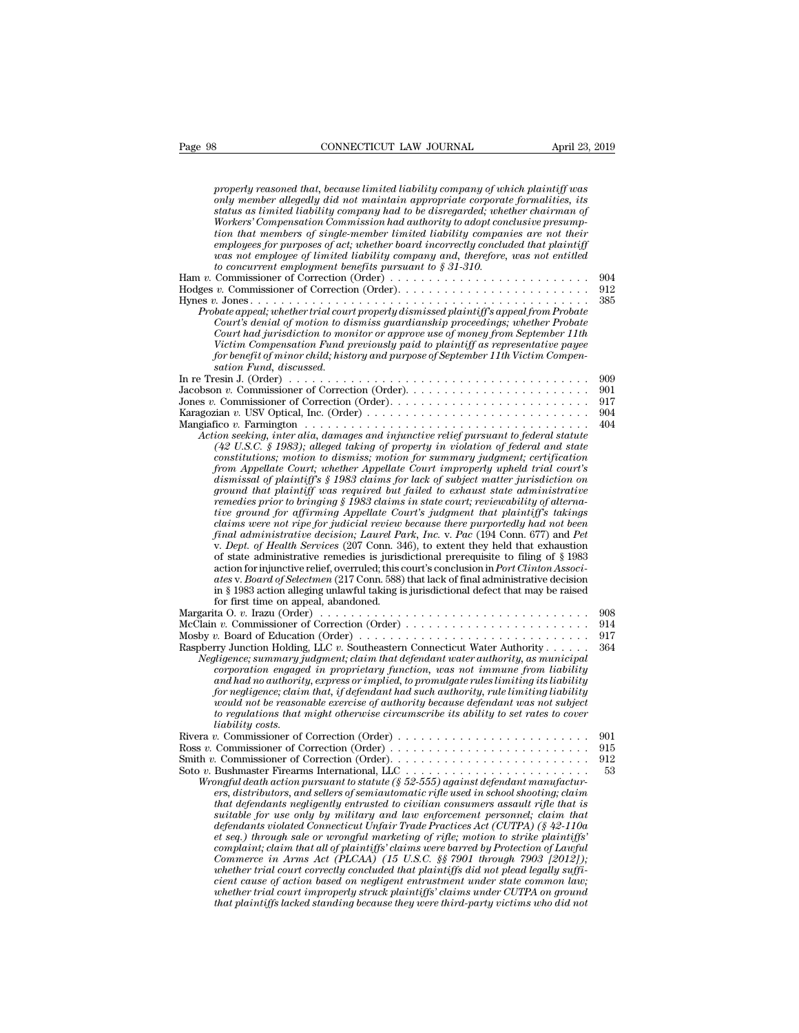| Page 98                 | CONNECTICUT LAW JOURNAL                                                                                                                                                                                                                                                                                                                                                                                                                                                                                                                                                                                                                                                                                                                                                                                                                                                                                                                                                                                                                                                                                                                                                                                                                                                                                                                                                                                                                                                                                                                                                                                                                                                                                                                                                                                                                                                                                                                                                | April 23, 2019                                       |
|-------------------------|------------------------------------------------------------------------------------------------------------------------------------------------------------------------------------------------------------------------------------------------------------------------------------------------------------------------------------------------------------------------------------------------------------------------------------------------------------------------------------------------------------------------------------------------------------------------------------------------------------------------------------------------------------------------------------------------------------------------------------------------------------------------------------------------------------------------------------------------------------------------------------------------------------------------------------------------------------------------------------------------------------------------------------------------------------------------------------------------------------------------------------------------------------------------------------------------------------------------------------------------------------------------------------------------------------------------------------------------------------------------------------------------------------------------------------------------------------------------------------------------------------------------------------------------------------------------------------------------------------------------------------------------------------------------------------------------------------------------------------------------------------------------------------------------------------------------------------------------------------------------------------------------------------------------------------------------------------------------|------------------------------------------------------|
| sation Fund, discussed. | properly reasoned that, because limited liability company of which plaintiff was<br>only member allegedly did not maintain appropriate corporate formalities, its<br>status as limited liability company had to be disregarded; whether chairman of<br>Workers' Compensation Commission had authority to adopt conclusive presump-<br>tion that members of single-member limited liability companies are not their<br>employees for purposes of act; whether board incorrectly concluded that plaintiff<br>was not employee of limited liability company and, therefore, was not entitled<br>to concurrent employment benefits pursuant to $\S 31-310$ .<br>Probate appeal; whether trial court properly dismissed plaintiff's appeal from Probate<br>Court's denial of motion to dismiss guardianship proceedings; whether Probate<br>Court had jurisdiction to monitor or approve use of money from September 11th<br>Victim Compensation Fund previously paid to plaintiff as representative payee<br>for benefit of minor child; history and purpose of September 11th Victim Compen-<br>Action seeking, inter alia, damages and injunctive relief pursuant to federal statute<br>$(42 \text{ U.S.C. } $ 1983)$ ; alleged taking of property in violation of federal and state<br>constitutions; motion to dismiss; motion for summary judgment; certification<br>from Appellate Court; whether Appellate Court improperly upheld trial court's<br>dismissal of plaintiff's § 1983 claims for lack of subject matter jurisdiction on<br>ground that plaintiff was required but failed to exhaust state administrative<br>remedies prior to bringing § 1983 claims in state court; reviewability of alterna-<br>tive ground for affirming Appellate Court's judgment that plaintiff's takings<br>claims were not ripe for judicial review because there purportedly had not been<br>final administrative decision; Laurel Park, Inc. v. Pac (194 Conn. 677) and Pet | 904<br>912<br>385<br>909<br>901<br>917<br>904<br>404 |
|                         | v. Dept. of Health Services (207 Conn. 346), to extent they held that exhaustion<br>of state administrative remedies is jurisdictional prerequisite to filing of $\S$ 1983<br>action for injunctive relief, overruled; this court's conclusion in Port Clinton Associ-<br>ates v. Board of Selectmen (217 Conn. 588) that lack of final administrative decision<br>in § 1983 action alleging unlawful taking is jurisdictional defect that may be raised<br>for first time on appeal, abandoned.<br>Margarita O. v. Irazu (Order) $\ldots \ldots \ldots \ldots \ldots \ldots \ldots \ldots \ldots \ldots \ldots \ldots \ldots$<br>McClain v. Commissioner of Correction (Order)                                                                                                                                                                                                                                                                                                                                                                                                                                                                                                                                                                                                                                                                                                                                                                                                                                                                                                                                                                                                                                                                                                                                                                                                                                                                                        | 908<br>914                                           |
| liability costs.        | Mosby v. Board of Education (Order) $\dots \dots \dots \dots \dots \dots \dots \dots \dots \dots \dots \dots$<br>Raspberry Junction Holding, LLC v. Southeastern Connecticut Water Authority<br>Negligence; summary judgment; claim that defendant water authority, as municipal<br>corporation engaged in proprietary function, was not immune from liability<br>and had no authority, express or implied, to promulgate rules limiting its liability<br>for negligence; claim that, if defendant had such authority, rule limiting liability<br>would not be reasonable exercise of authority because defendant was not subject<br>to regulations that might otherwise circumscribe its ability to set rates to cover                                                                                                                                                                                                                                                                                                                                                                                                                                                                                                                                                                                                                                                                                                                                                                                                                                                                                                                                                                                                                                                                                                                                                                                                                                                | 917<br>364                                           |
|                         | Wrongful death action pursuant to statute (§ 52-555) against defendant manufactur-<br>ers, distributors, and sellers of semiautomatic rifle used in school shooting; claim<br>that defendants negligently entrusted to civilian consumers assault rifle that is<br>suitable for use only by military and law enforcement personnel; claim that<br>defendants violated Connecticut Unfair Trade Practices Act (CUTPA) (§ 42-110a<br>et seq.) through sale or wrongful marketing of rifle; motion to strike plaintiffs'<br>complaint; claim that all of plaintiffs' claims were barred by Protection of Lawful<br>Commerce in Arms Act (PLCAA) (15 U.S.C. §§ 7901 through 7903 [2012]);<br>whether trial court correctly concluded that plaintiffs did not plead legally suffi-<br>cient cause of action based on negligent entrustment under state common law;<br>whether trial court improperly struck plaintiffs' claims under CUTPA on ground<br>that plaintiffs lacked standing because they were third-party victims who did not                                                                                                                                                                                                                                                                                                                                                                                                                                                                                                                                                                                                                                                                                                                                                                                                                                                                                                                                   | 901<br>915<br>912<br>53                              |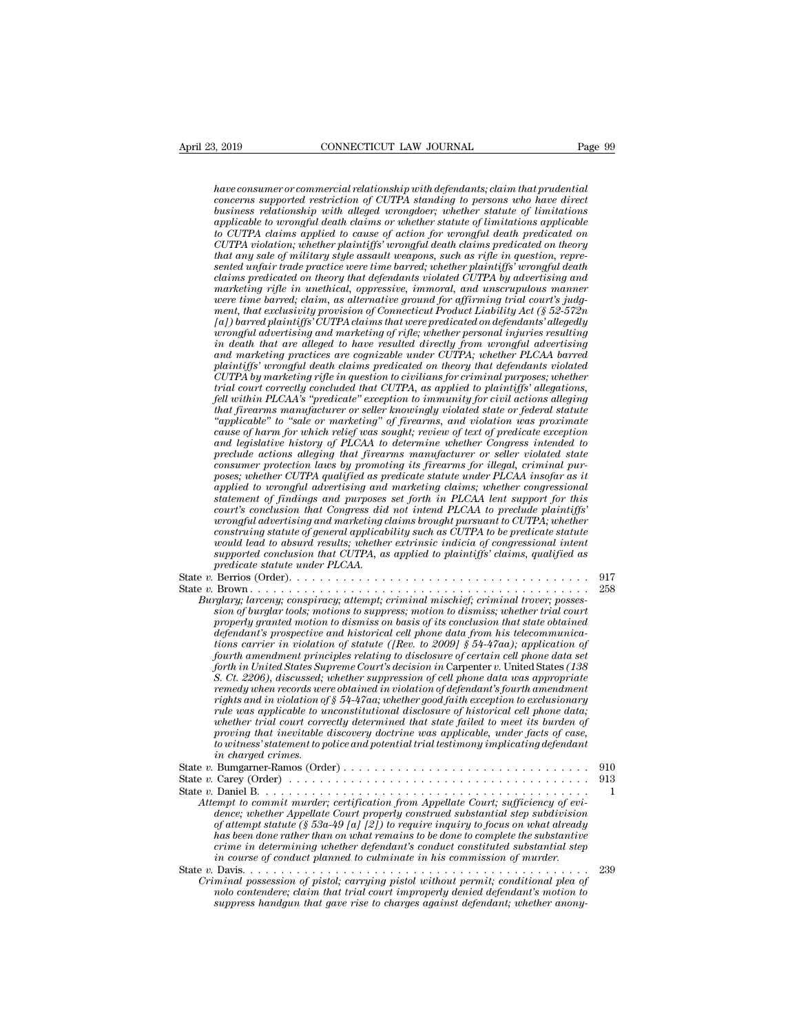*have consumer or commercial relationship with defendants; claim that prudential connection is a concerned relationship with defendants; claim that prudential*<br>*concerns supported restriction of CUTPA standing to persons who have directonerns supported restriction of CUTPA standing to persons who have business relationship with alleged wrongdoer; whether statute of limitations a*<br> **a** *applicable to wrongful defendants; claim that prudential*<br> *abve consumer or commercial relationship with defendants; claim that prudential*<br> *concerns supported restriction of CUTPA standing to persons who have thave consumer or commercial relationship with defendants; claim that prudential concerns supported restriction of CUTPA standing to persons who have direct business relationship with alleged wrongdoer; whether statute of CUTPA violationship with defendants; claim that prudential*<br>concerns supported restriction of CUTPA standing to persons who have direct<br>business relationship with alleged wrongdoer; whether statute of limitations<br>applicab *that are consumer or commercial relationship with defendants; claim that prudential concerns supported restriction of CUTPA standing to persons who have direct business relationship with alleged wrongdoer; whether statute* have consumer or commercial relationship with defendants; claim that prudential<br>concerns supported restriction of CUTPA standing to persons who have direct<br>business relationship with alleged wrongdoer; whether statute of l *concerns supported restriction of CUTPA standing to persons who have direct*<br>business relationship with alleged wrongdoer; whether statute of limitations<br>applicable to curongful death claims or whether statute of limitati *business relationship with alleged wrongdoer; whether statute of limitations applicable to wrongful death claims or whether statute of limitations applicable to CUTPA violation; whether plaintiffs' wrongful death claims p applicable to wrongful death claims or whether statute of limitations applicable to CUTPA claims applied to cause of action for wrongful death predicated on theory clumply death claims predicated on theory that any sale o mentially to compare the consection of the connection of the control and mean predicated on theory that any sale of military style assault weapons, such as rifle in a specificated on theory sented unfair trade practice we CUTPA violation; whether plaintiffs' wrongful death claims predicated on theory*<br>that any sale of military style assault weapons, such as rifle in question, repre-<br>sented unfair trade practice were time barred; whether pl *that any sale of multary style assault weapons, such as rifle in question, represented unfair trade practice were time barred; whether plaintiffs' wrongful death claims predicated on theory that defendants violated CUTPA inted unfanr trade practice were time barred; whether plaintiffs' wrongful death* claims predicated on theory that defendants violated CUTPA by advertising and marketing rifle in unethical, oppressive, immoral, and unscru *claims predicated on theory that defendants violated CUTPA by advertising and* marketing rifle in unethical, oppressive, immoral, and unscrupulous manner were time barred; claim, as alternative ground for affirming trial marketing rifle in unethical, oppressive, immoral, and unscrupulous manner<br>were time barred; claim, as alternative grownd for affirming trial court's judg-<br>ment, that exclusivity provision of Connecticut Product Liability *CUTPA by marketing provision of Connecticut Product Liability Act (§ 52-572n*  $[a]$ ) barred plaintiffs' CUTPA claims that were predicated on defendants' allegedly  $u$ ) barred plaintiffs' CUTPA claims that were predicated o ment, that exclusivity provision of Connecticut Product Liability Act (§ 52-572n)<br>
[a]) barred plaintiffs' CUTPA claims that were predicated on defendants' allegedly<br>
wrongful advertising and marketing of rifle; whether pe *fal) barred planntiffs'* CUTPA claims that were predicated on defendants' allegedly<br>wrongful advertising and marketing of rifle; whether personal injuries resulting<br>in death that are alleged to have resulted directly from *that firearms manufacturer or seller whether personal injuries resulting*<br>in death that are alleged to have resulted directly from wrongful advertising<br>and marketing practices are cognizable under CUTPA; whether PLCAA bar *in death that are alleged to have resulted directly from wrongful advertising*<br>and marketing practices are cognizable under CUTPA; whether PLCAA barred<br>plaintiffs' wrongful death claims predicated on theory that defendant and marketing practices are cognizable under CUTPA; whether PLCAA barred<br>plaintiffs' wrongful death claims predicated on theory that defendants violated<br>CUTPA by marketing rifle in question to civilians for criminal purpos planntyfs' wrongful death claims predicated on theory that defendants violated<br>*CUTPA by marketing rifle in question to civilians for criminal purposes; whether*<br>firial court correctly concluded that CUTPA, as applied to p *Precelly concluded that CUTPA, as applied to plaintiffs' allegations,* the trial court correctly concluded that CUTPA, as applied to plaintiffs' allegations, fell within PLCAA's "predicate" exception to immunity for civil *constrain transmass manufacturer or seller within PLCAA's "predicate" exception to immunity for civil actions alleging that firearms manufacturer or seller knowingly violated state or federal statute "applicable" to "sale postal within PLCAA's "predicate" exception to immunity for civil actions alleging*<br>that firearms manufacturer or seller knowingly violated state or federal statute<br>"applicable" to "sale or marketing" of firearms, and vio *applicable"* to "sale or marketing" of firearms, and violation was proximate cause of harm for which relief was sought; review of text of predicate exception and legislative history of PLCAA to determine whether Congress *"applicable" to "sale or marketing" of firearms, and violation was proximate* cause of harm for which relief was sought; review of text of predicate exception and legislative history of PLCAA io determine whether Congress *cause of harm for which relief was sought; review of text of predicate exception*<br>and legislative history of PLCAA to determine whether Congress intended to<br>preclude actions alleging that firearms manufacturer or seller v and legislative history of PLCAA to determine whether Congress intended to<br>preclude actions alleging that firearms manufacturer or seller violated state<br>consumer protection laws by promoting its firearms for illegal, crimi preclude actions alleging that firearms manufacturer or seller violated state<br>consumer protection laws by promoting its firearms for illegal, criminal pur-<br>poses; whether CUTPA qualified as predicate statute under PLCAA in *consumer protection taws by promoting its firearms for illegal, criminal pur-*<br>poses; whether CUTPA qualified as predicate statute under PLCAA insofar as it<br>applied to wrongful advertising and marketing claims; whether co poses; whether CUTPA qualified as predicate statute under PLCAA insofar as it applied to wrongful advertising and marketing claims; whether congressional statement of findings and purposes set forth in PLCAA tent support f *applied to wrongful advertising and statement of findings and purposes court's conclusion that Congress did wrongful advertising and marketing construing statute of general applicable would lead to absurd results; whether* State *v.* Berrior *order)* and parposes set form an PLCAA was leader plaintiffs'<br>wrongful advertising and marketing claims brought pursuant to CUTPA; whether<br>construing statute of general applicability such as CUTPA to be Fourts countries and compress and more than 1 EXA to be predicate patternal and more constraing and marketing claims brought pursuant to CUTPA; whether constraing statute of general applicability such as CUTPA to be predic *Burglary; lawerissing una marketing catins orough pursuant to CUTA, whether*<br> *Burglary; larceny; whether extrinsic indicia of congressional intent*<br> *Burglary; larceny; conspiracy; attempt; criminal mischief; criminal tr sional dead to absurd results; whether extrinsic indicia of congressional intent*<br>supported conclusion that CUTPA, as applied to plaintiffs' claims, qualified as<br>predicate statute under PLCAA.

| would lead to absura results, whether extrinsic indicial of congressional intent<br>supported conclusion that CUTPA, as applied to plaintiffs' claims, qualified as<br>predicate statute under PLCAA.                                                                                                                                                                                                                                                                                                                                                                                                                                                                                                                                                                                                                              |            |
|------------------------------------------------------------------------------------------------------------------------------------------------------------------------------------------------------------------------------------------------------------------------------------------------------------------------------------------------------------------------------------------------------------------------------------------------------------------------------------------------------------------------------------------------------------------------------------------------------------------------------------------------------------------------------------------------------------------------------------------------------------------------------------------------------------------------------------|------------|
| State v. Berrios (Order). $\dots \dots \dots \dots \dots \dots \dots \dots \dots \dots \dots \dots \dots \dots \dots \dots$<br>Burglary; larceny; conspiracy; attempt; criminal mischief; criminal trover; posses-<br>sion of burglar tools; motions to suppress; motion to dismiss; whether trial court<br>properly granted motion to dismiss on basis of its conclusion that state obtained<br>defendant's prospective and historical cell phone data from his telecommunica-<br>tions carrier in violation of statute ([Rev. to 2009] § 54-47aa); application of<br>fourth amendment principles relating to disclosure of certain cell phone data set<br>forth in United States Supreme Court's decision in Carpenter v. United States (138)<br>S. Ct. 2206), discussed; whether suppression of cell phone data was appropriate | 917<br>258 |
| remedy when records were obtained in violation of defendant's fourth amendment<br>rights and in violation of $\S 54-47$ as; whether good faith exception to exclusionary<br>rule was applicable to unconstitutional disclosure of historical cell phone data;<br>whether trial court correctly determined that state failed to meet its burden of<br>proving that inevitable discovery doctrine was applicable, under facts of case,<br>to witness' statement to police and potential trial testimony implicating defendant<br>in charged crimes.                                                                                                                                                                                                                                                                                  | 910        |
| Attempt to commit murder; certification from Appellate Court; sufficiency of evi-<br>dence; whether Appellate Court properly construed substantial step subdivision<br>of attempt statute (§ 53a-49 [a] [2]) to require inquiry to focus on what already<br>has been done rather than on what remains to be done to complete the substantive<br>crime in determining whether defendant's conduct constituted substantial step<br>in course of conduct planned to culminate in his commission of murder.                                                                                                                                                                                                                                                                                                                            | 913<br>1   |
| Criminal possession of pistol; carrying pistol without permit; conditional plea of<br>nolo contendere; claim that trial court improperly denied defendant's motion to<br>suppress hand qun that gave rise to charges against defendant; whether anony-                                                                                                                                                                                                                                                                                                                                                                                                                                                                                                                                                                             | 239        |